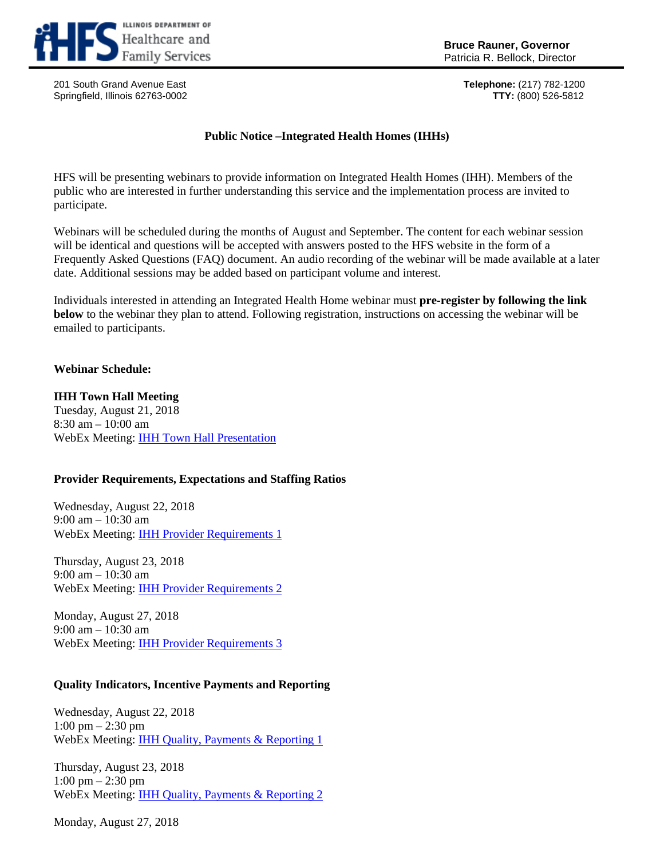

201 South Grand Avenue East **Telephone:** (217) 782-1200 Springfield, Illinois 62763-0002

# **Public Notice –Integrated Health Homes (IHHs)**

HFS will be presenting webinars to provide information on Integrated Health Homes (IHH). Members of the public who are interested in further understanding this service and the implementation process are invited to participate.

Webinars will be scheduled during the months of August and September. The content for each webinar session will be identical and questions will be accepted with answers posted to the HFS website in the form of a Frequently Asked Questions (FAQ) document. An audio recording of the webinar will be made available at a later date. Additional sessions may be added based on participant volume and interest.

Individuals interested in attending an Integrated Health Home webinar must **pre-register by following the link below** to the webinar they plan to attend. Following registration, instructions on accessing the webinar will be emailed to participants.

## **Webinar Schedule:**

## **IHH Town Hall Meeting**

Tuesday, August 21, 2018 8:30 am – 10:00 am WebEx Meeting: [IHH Town Hall Presentation](https://illinois.webex.com/illinois/onstage/g.php?MTID=e10612ec4c8663bcd9833d8dd0f1d742a)

## **Provider Requirements, Expectations and Staffing Ratios**

Wednesday, August 22, 2018 9:00 am – 10:30 am WebEx Meeting: [IHH Provider Requirements 1](https://illinois.webex.com/illinois/onstage/g.php?MTID=ebfd9c653c5bf70c51552974d5e936615)

Thursday, August 23, 2018 9:00 am – 10:30 am WebEx Meeting: [IHH Provider Requirements 2](https://illinois.webex.com/illinois/onstage/g.php?MTID=e57ec9f56f917d568fa0f8f9e924d6f6c)

Monday, August 27, 2018 9:00 am – 10:30 am WebEx Meeting: [IHH Provider Requirements 3](https://illinois.webex.com/illinois/onstage/g.php?MTID=e6517abdd3d7d3b89237879a6e5569ccd)

## **Quality Indicators, Incentive Payments and Reporting**

Wednesday, August 22, 2018 1:00 pm – 2:30 pm WebEx Meeting: [IHH Quality, Payments & Reporting 1](https://illinois.webex.com/illinois/onstage/g.php?MTID=ed58542cda82a7af1f1684f95874556a7)

Thursday, August 23, 2018 1:00 pm – 2:30 pm WebEx Meeting: [IHH Quality, Payments & Reporting 2](https://illinois.webex.com/illinois/onstage/g.php?MTID=e410886b594a51b0631a6fbc5fd8857d3)

Monday, August 27, 2018